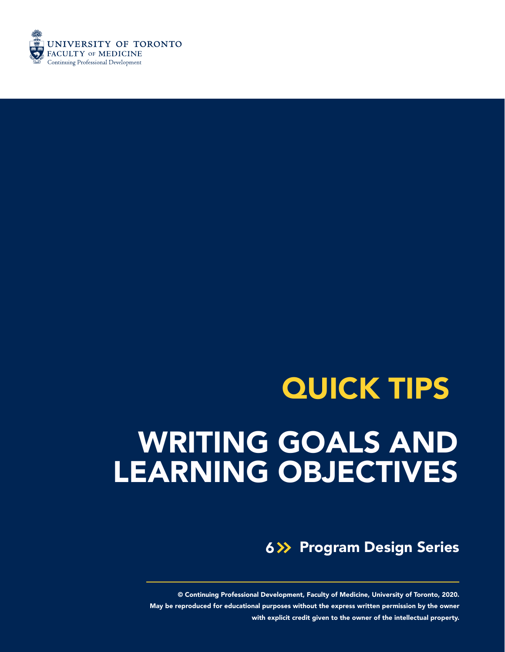

# WRITING GOALS AND LEARNING OBJECTIVES QUICK TIPS

**6>> Program Design Series** 

© Continuing Professional Development, Faculty of Medicine, University of Toronto, 2020. May be reproduced for educational purposes without the express written permission by the owner with explicit credit given to the owner of the intellectual property.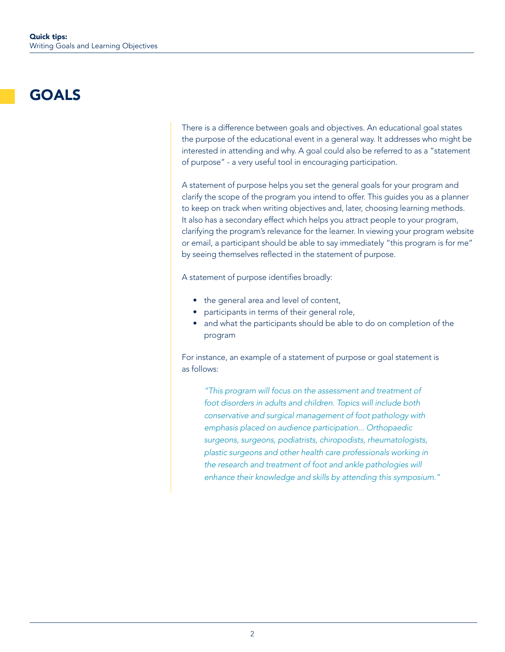# GOALS

There is a difference between goals and objectives. An educational goal states the purpose of the educational event in a general way. It addresses who might be interested in attending and why. A goal could also be referred to as a "statement of purpose" - a very useful tool in encouraging participation.

A statement of purpose helps you set the general goals for your program and clarify the scope of the program you intend to offer. This guides you as a planner to keep on track when writing objectives and, later, choosing learning methods. It also has a secondary effect which helps you attract people to your program, clarifying the program's relevance for the learner. In viewing your program website or email, a participant should be able to say immediately "this program is for me" by seeing themselves reflected in the statement of purpose.

A statement of purpose identifies broadly:

- the general area and level of content,
- participants in terms of their general role,
- and what the participants should be able to do on completion of the program

For instance, an example of a statement of purpose or goal statement is as follows:

*"This program will focus on the assessment and treatment of foot disorders in adults and children. Topics will include both conservative and surgical management of foot pathology with emphasis placed on audience participation... Orthopaedic surgeons, surgeons, podiatrists, chiropodists, rheumatologists, plastic surgeons and other health care professionals working in the research and treatment of foot and ankle pathologies will enhance their knowledge and skills by attending this symposium."*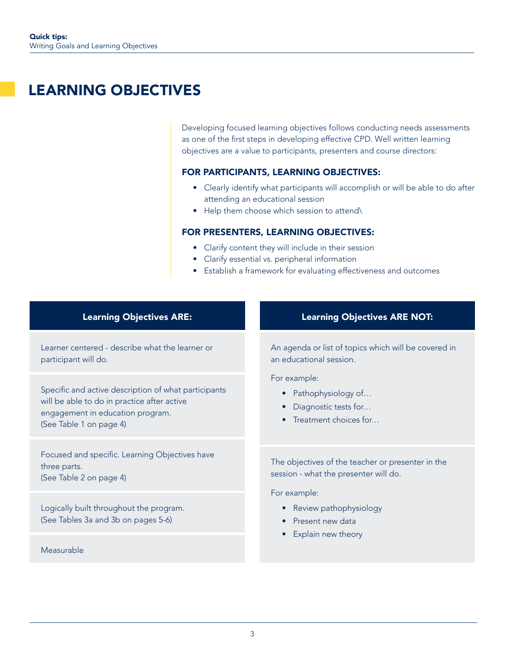# LEARNING OBJECTIVES

Developing focused learning objectives follows conducting needs assessments as one of the first steps in developing effective CPD. Well written learning objectives are a value to participants, presenters and course directors:

# FOR PARTICIPANTS, LEARNING OBJECTIVES:

- Clearly identify what participants will accomplish or will be able to do after attending an educational session
- Help them choose which session to attend\

# FOR PRESENTERS, LEARNING OBJECTIVES:

- Clarify content they will include in their session
- Clarify essential vs. peripheral information
- Establish a framework for evaluating effectiveness and outcomes

# Learning Objectives ARE:

Learner centered - describe what the learner or participant will do.

Specific and active description of what participants will be able to do in practice after active engagement in education program. (See Table 1 on page 4)

Focused and specific. Learning Objectives have three parts. (See Table 2 on page 4)

Logically built throughout the program. (See Tables 3a and 3b on pages 5-6)

## Measurable

## Learning Objectives ARE NOT:

An agenda or list of topics which will be covered in an educational session.

For example:

- Pathophysiology of...
- Diagnostic tests for…
- Treatment choices for...

The objectives of the teacher or presenter in the session - what the presenter will do.

For example:

- Review pathophysiology
- Present new data
- Explain new theory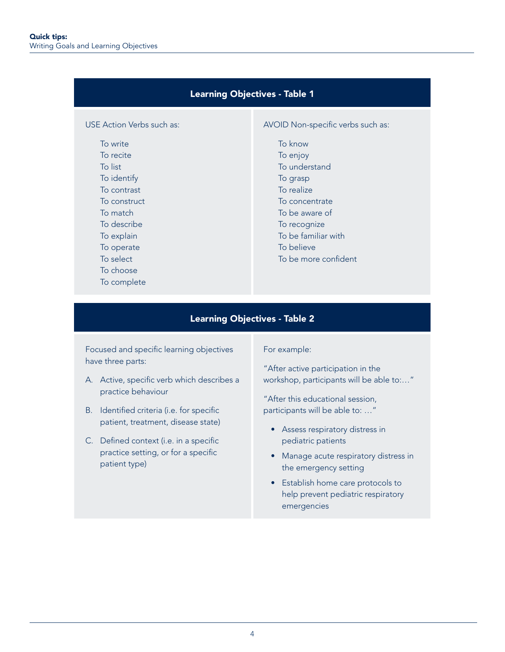# Learning Objectives - Table 1

# USE Action Verbs such as:

To write To recite To list To identify To contrast To construct To match To describe To explain To operate To select To choose

To complete

#### AVOID Non-specific verbs such as:

To know To enjoy To understand To grasp To realize To concentrate To be aware of To recognize To be familiar with To believe

To be more confident

# Learning Objectives - Table 2

Focused and specific learning objectives have three parts:

- A. Active, specific verb which describes a practice behaviour
- B. Identified criteria (i.e. for specific patient, treatment, disease state)
- C. Defined context (i.e. in a specific practice setting, or for a specific patient type)

#### For example:

"After active participation in the workshop, participants will be able to:…"

"After this educational session, participants will be able to: …"

- Assess respiratory distress in pediatric patients
- Manage acute respiratory distress in the emergency setting
- Establish home care protocols to help prevent pediatric respiratory emergencies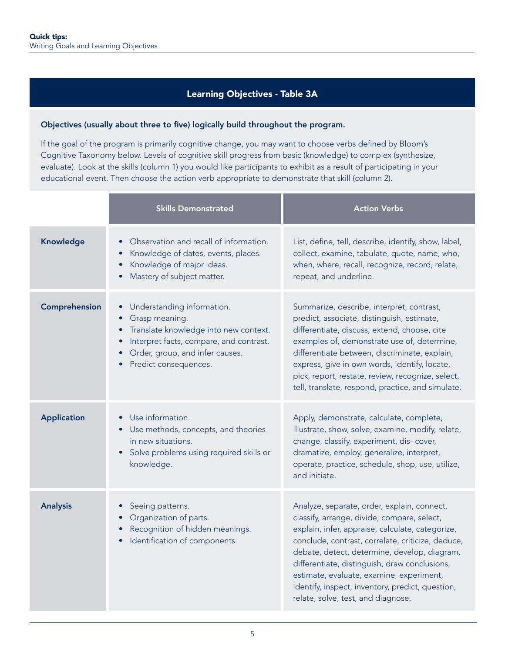# Learning Objectives - Table 3A

#### Objectives (usually about three to five) logically build throughout the program.

If the goal of the program is primarily cognitive change, you may want to choose verbs defined by Bloom's Cognitive Taxonomy below. Levels of cognitive skill progress from basic (knowledge) to complex (synthesize, evaluate). Look at the skills (column 1) you would like participants to exhibit as a result of participating in your educational event. Then choose the action verb appropriate to demonstrate that skill (column 2).

|                    | <b>Skills Demonstrated</b>                                                                                                                                                                                                          | <b>Action Verbs</b>                                                                                                                                                                                                                                                                                                                                                                                                                        |
|--------------------|-------------------------------------------------------------------------------------------------------------------------------------------------------------------------------------------------------------------------------------|--------------------------------------------------------------------------------------------------------------------------------------------------------------------------------------------------------------------------------------------------------------------------------------------------------------------------------------------------------------------------------------------------------------------------------------------|
| Knowledge          | Observation and recall of information.<br>Knowledge of dates, events, places.<br>Knowledge of major ideas.<br>Mastery of subject matter.                                                                                            | List, define, tell, describe, identify, show, label,<br>collect, examine, tabulate, quote, name, who,<br>when, where, recall, recognize, record, relate,<br>repeat, and underline.                                                                                                                                                                                                                                                         |
| Comprehension      | Understanding information.<br>$\bullet$<br>Grasp meaning.<br>$\bullet$<br>Translate knowledge into new context.<br>$\bullet$<br>Interpret facts, compare, and contrast.<br>Order, group, and infer causes.<br>Predict consequences. | Summarize, describe, interpret, contrast,<br>predict, associate, distinguish, estimate,<br>differentiate, discuss, extend, choose, cite<br>examples of, demonstrate use of, determine,<br>differentiate between, discriminate, explain,<br>express, give in own words, identify, locate,<br>pick, report, restate, review, recognize, select,<br>tell, translate, respond, practice, and simulate.                                         |
| <b>Application</b> | Use information.<br>• Use methods, concepts, and theories<br>in new situations.<br>Solve problems using required skills or<br>knowledge.                                                                                            | Apply, demonstrate, calculate, complete,<br>illustrate, show, solve, examine, modify, relate,<br>change, classify, experiment, dis-cover,<br>dramatize, employ, generalize, interpret,<br>operate, practice, schedule, shop, use, utilize,<br>and initiate.                                                                                                                                                                                |
| <b>Analysis</b>    | Seeing patterns.<br>Organization of parts.<br>Recognition of hidden meanings.<br>Identification of components.                                                                                                                      | Analyze, separate, order, explain, connect,<br>classify, arrange, divide, compare, select,<br>explain, infer, appraise, calculate, categorize,<br>conclude, contrast, correlate, criticize, deduce,<br>debate, detect, determine, develop, diagram,<br>differentiate, distinguish, draw conclusions,<br>estimate, evaluate, examine, experiment,<br>identify, inspect, inventory, predict, question,<br>relate, solve, test, and diagnose. |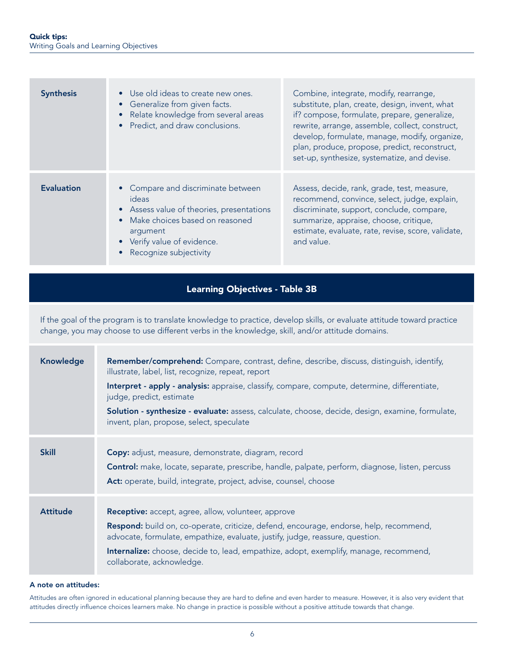| <b>Synthesis</b>  | • Use old ideas to create new ones.<br>• Generalize from given facts.<br>• Relate knowledge from several areas<br>• Predict, and draw conclusions.                                                | Combine, integrate, modify, rearrange,<br>substitute, plan, create, design, invent, what<br>if? compose, formulate, prepare, generalize,<br>rewrite, arrange, assemble, collect, construct,<br>develop, formulate, manage, modify, organize,<br>plan, produce, propose, predict, reconstruct,<br>set-up, synthesize, systematize, and devise. |
|-------------------|---------------------------------------------------------------------------------------------------------------------------------------------------------------------------------------------------|-----------------------------------------------------------------------------------------------------------------------------------------------------------------------------------------------------------------------------------------------------------------------------------------------------------------------------------------------|
| <b>Evaluation</b> | • Compare and discriminate between<br>ideas<br>• Assess value of theories, presentations<br>• Make choices based on reasoned<br>argument<br>• Verify value of evidence.<br>Recognize subjectivity | Assess, decide, rank, grade, test, measure,<br>recommend, convince, select, judge, explain,<br>discriminate, support, conclude, compare,<br>summarize, appraise, choose, critique,<br>estimate, evaluate, rate, revise, score, validate,<br>and value.                                                                                        |

# Learning Objectives - Table 3B

If the goal of the program is to translate knowledge to practice, develop skills, or evaluate attitude toward practice change, you may choose to use different verbs in the knowledge, skill, and/or attitude domains.

| <b>Knowledge</b> | <b>Remember/comprehend:</b> Compare, contrast, define, describe, discuss, distinguish, identify,<br>illustrate, label, list, recognize, repeat, report<br>Interpret - apply - analysis: appraise, classify, compare, compute, determine, differentiate,<br>judge, predict, estimate<br>Solution - synthesize - evaluate: assess, calculate, choose, decide, design, examine, formulate,<br>invent, plan, propose, select, speculate |
|------------------|-------------------------------------------------------------------------------------------------------------------------------------------------------------------------------------------------------------------------------------------------------------------------------------------------------------------------------------------------------------------------------------------------------------------------------------|
| <b>Skill</b>     | Copy: adjust, measure, demonstrate, diagram, record<br>Control: make, locate, separate, prescribe, handle, palpate, perform, diagnose, listen, percuss<br>Act: operate, build, integrate, project, advise, counsel, choose                                                                                                                                                                                                          |
| <b>Attitude</b>  | <b>Receptive:</b> accept, agree, allow, volunteer, approve<br>Respond: build on, co-operate, criticize, defend, encourage, endorse, help, recommend,<br>advocate, formulate, empathize, evaluate, justify, judge, reassure, question.<br><b>Internalize:</b> choose, decide to, lead, empathize, adopt, exemplify, manage, recommend,<br>collaborate, acknowledge.                                                                  |

#### A note on attitudes:

Attitudes are often ignored in educational planning because they are hard to define and even harder to measure. However, it is also very evident that attitudes directly influence choices learners make. No change in practice is possible without a positive attitude towards that change.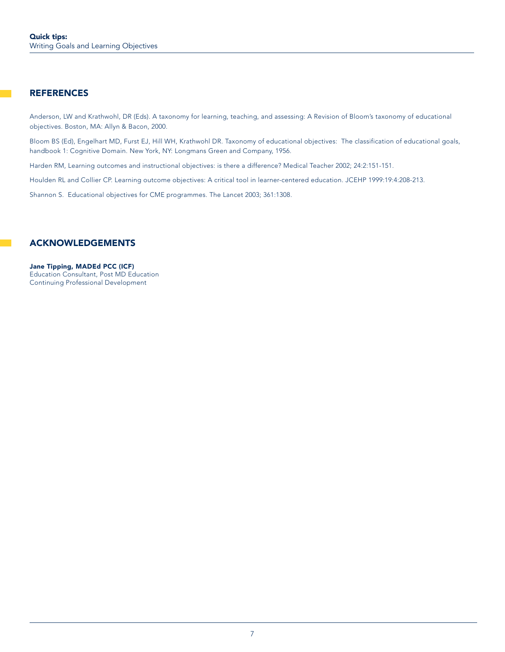# **REFERENCES**

Anderson, LW and Krathwohl, DR (Eds). A taxonomy for learning, teaching, and assessing: A Revision of Bloom's taxonomy of educational objectives. Boston, MA: Allyn & Bacon, 2000.

Bloom BS (Ed), Engelhart MD, Furst EJ, Hill WH, Krathwohl DR. Taxonomy of educational objectives: The classification of educational goals, handbook 1: Cognitive Domain. New York, NY: Longmans Green and Company, 1956.

Harden RM, Learning outcomes and instructional objectives: is there a difference? Medical Teacher 2002; 24:2:151-151.

Houlden RL and Collier CP. Learning outcome objectives: A critical tool in learner-centered education. JCEHP 1999:19:4:208-213.

Shannon S. Educational objectives for CME programmes. The Lancet 2003; 361:1308.

# ACKNOWLEDGEMENTS

Jane Tipping, MADEd PCC (ICF) Education Consultant, Post MD Education Continuing Professional Development